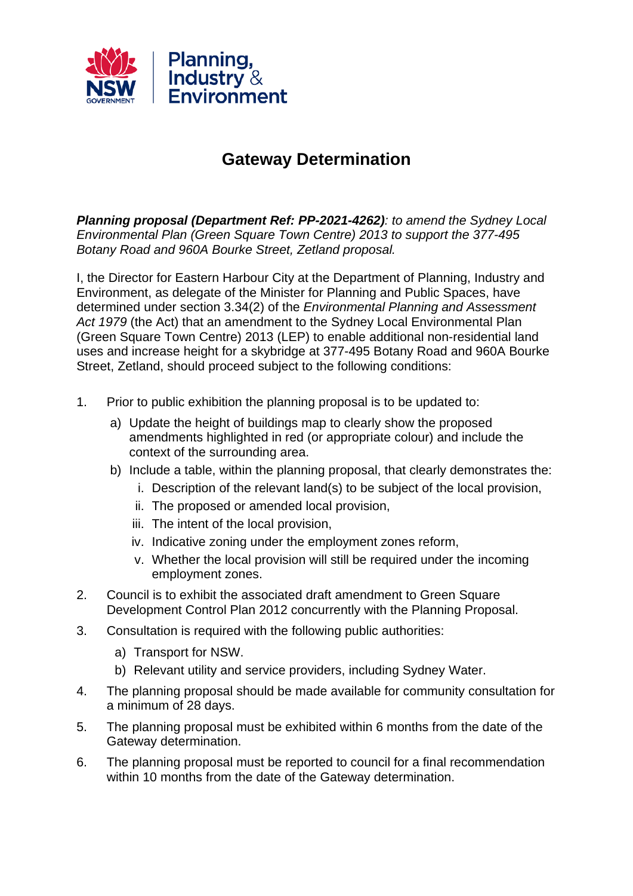

## **Gateway Determination**

*Planning proposal (Department Ref: PP-2021-4262): to amend the Sydney Local Environmental Plan (Green Square Town Centre) 2013 to support the 377-495 Botany Road and 960A Bourke Street, Zetland proposal.*

I, the Director for Eastern Harbour City at the Department of Planning, Industry and Environment, as delegate of the Minister for Planning and Public Spaces, have determined under section 3.34(2) of the *Environmental Planning and Assessment Act 1979* (the Act) that an amendment to the Sydney Local Environmental Plan (Green Square Town Centre) 2013 (LEP) to enable additional non-residential land uses and increase height for a skybridge at 377-495 Botany Road and 960A Bourke Street, Zetland, should proceed subject to the following conditions:

- 1. Prior to public exhibition the planning proposal is to be updated to:
	- a) Update the height of buildings map to clearly show the proposed amendments highlighted in red (or appropriate colour) and include the context of the surrounding area.
	- b) Include a table, within the planning proposal, that clearly demonstrates the:
		- i. Description of the relevant land(s) to be subject of the local provision,
		- ii. The proposed or amended local provision,
		- iii. The intent of the local provision,
		- iv. Indicative zoning under the employment zones reform,
		- v. Whether the local provision will still be required under the incoming employment zones.
- 2. Council is to exhibit the associated draft amendment to Green Square Development Control Plan 2012 concurrently with the Planning Proposal.
- 3. Consultation is required with the following public authorities:
	- a) Transport for NSW.
	- b) Relevant utility and service providers, including Sydney Water.
- 4. The planning proposal should be made available for community consultation for a minimum of 28 days.
- 5. The planning proposal must be exhibited within 6 months from the date of the Gateway determination.
- 6. The planning proposal must be reported to council for a final recommendation within 10 months from the date of the Gateway determination.